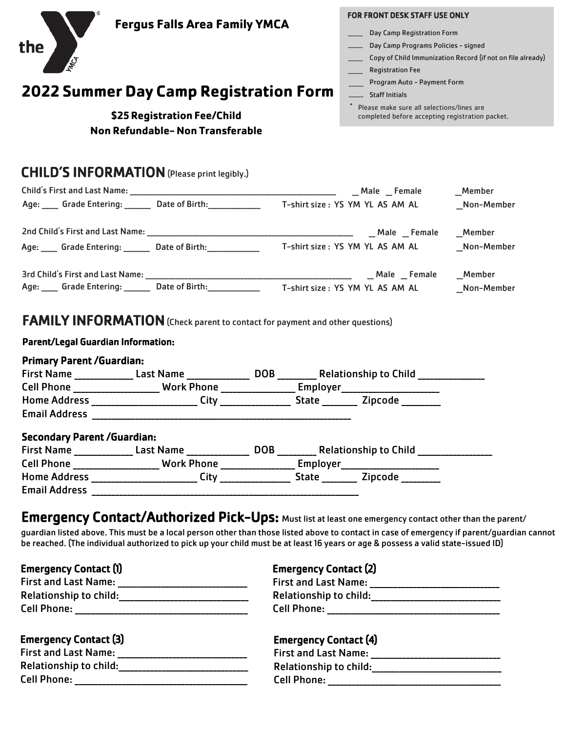| the<br>IMICA                              | <b>Fergus Falls Area Family YMCA</b><br><b>2022 Summer Day Camp Registration Form</b><br>\$25 Registration Fee/Child<br>Non Refundable-Non Transferable |  | <b>FOR FRONT DESK STAFF USE ONLY</b><br>___ Day Camp Registration Form<br>___ Day Camp Programs Policies - signed<br><b>Registration Fee</b><br>Program Auto - Payment Form<br>Staff Initials<br>Please make sure all selections/lines are<br>completed before accepting registration packet. | Copy of Child Immunization Record (if not on file already) |
|-------------------------------------------|---------------------------------------------------------------------------------------------------------------------------------------------------------|--|-----------------------------------------------------------------------------------------------------------------------------------------------------------------------------------------------------------------------------------------------------------------------------------------------|------------------------------------------------------------|
|                                           |                                                                                                                                                         |  |                                                                                                                                                                                                                                                                                               |                                                            |
|                                           | <b>CHILD'S INFORMATION</b> (Please print legibly.)                                                                                                      |  |                                                                                                                                                                                                                                                                                               |                                                            |
|                                           |                                                                                                                                                         |  |                                                                                                                                                                                                                                                                                               | Member                                                     |
|                                           | Age: Grade Entering: Date of Birth: T-shirt size: YS YM YL AS AM AL                                                                                     |  |                                                                                                                                                                                                                                                                                               | Non-Member                                                 |
|                                           |                                                                                                                                                         |  |                                                                                                                                                                                                                                                                                               | Member                                                     |
|                                           | Age: Grade Entering: Date of Birth: T-shirt size: YS YM YL AS AM AL                                                                                     |  |                                                                                                                                                                                                                                                                                               | _Non-Member                                                |
|                                           |                                                                                                                                                         |  |                                                                                                                                                                                                                                                                                               | Member                                                     |
|                                           | Age: Grade Entering: ________ Date of Birth: ______________________ T-shirt size : YS YM YL AS AM AL                                                    |  |                                                                                                                                                                                                                                                                                               | Non-Member                                                 |
|                                           | <b>FAMILY INFORMATION</b> (Check parent to contact for payment and other questions)                                                                     |  |                                                                                                                                                                                                                                                                                               |                                                            |
| <b>Parent/Legal Guardian Information:</b> |                                                                                                                                                         |  |                                                                                                                                                                                                                                                                                               |                                                            |
| <b>Primary Parent /Guardian:</b>          |                                                                                                                                                         |  |                                                                                                                                                                                                                                                                                               |                                                            |
|                                           | First Name ________________ Last Name __________________ DOB _____________ Relationship to Child _______________                                        |  |                                                                                                                                                                                                                                                                                               |                                                            |
|                                           | Cell Phone _____________________ Work Phone __________________ Employer____________________________                                                     |  |                                                                                                                                                                                                                                                                                               |                                                            |
|                                           | Home Address ________________________City _________________State __________Zipcode _________________                                                    |  |                                                                                                                                                                                                                                                                                               |                                                            |
| <b>Email Address</b>                      |                                                                                                                                                         |  |                                                                                                                                                                                                                                                                                               |                                                            |
| <b>Secondary Parent /Guardian:</b>        |                                                                                                                                                         |  |                                                                                                                                                                                                                                                                                               |                                                            |
|                                           | First Name _______________ Last Name _________________ DOB ___________ Relationship to Child _________________                                          |  |                                                                                                                                                                                                                                                                                               |                                                            |
|                                           | Cell Phone ____________________ Work Phone __________________ Employer_____________________________                                                     |  |                                                                                                                                                                                                                                                                                               |                                                            |
|                                           | Home Address __________________________ City ________________                                                                                           |  |                                                                                                                                                                                                                                                                                               |                                                            |
|                                           |                                                                                                                                                         |  |                                                                                                                                                                                                                                                                                               |                                                            |
|                                           |                                                                                                                                                         |  |                                                                                                                                                                                                                                                                                               |                                                            |

# Emergency Contact/Authorized Pick-Ups: Must list at least one emergency contact other than the parent/

guardian listed above. This must be a local person other than those listed above to contact in case of emergency if parent/guardian cannot be reached. (The individual authorized to pick up your child must be at least 16 years or age & possess a valid state-issued ID)

Emergency Contact (1)

| <b>First and Last Name:</b>   |
|-------------------------------|
| <b>Relationship to child:</b> |
| <b>Cell Phone:</b>            |

### Emergency Contact (3)

| <b>First and Last Name:</b>   |  |
|-------------------------------|--|
| <b>Relationship to child:</b> |  |
| <b>Cell Phone:</b>            |  |

### Emergency Contact (2)

| <b>First and Last Name:</b>   |  |
|-------------------------------|--|
| <b>Relationship to child:</b> |  |
| <b>Cell Phone:</b>            |  |

### Emergency Contact (4)

| <b>First and Last Name:</b>   |  |
|-------------------------------|--|
| <b>Relationship to child:</b> |  |
| <b>Cell Phone:</b>            |  |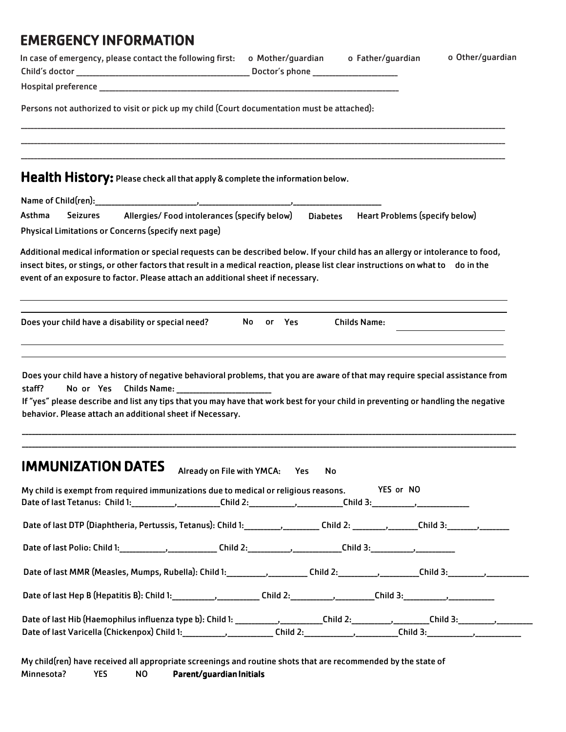## EMERGENCY INFORMATION

| In case of emergency, please contact the following first: o Mother/guardian o Father/guardian                                                                                                                                                                                                                                                          |                                |    |                     | o Other/guardian |
|--------------------------------------------------------------------------------------------------------------------------------------------------------------------------------------------------------------------------------------------------------------------------------------------------------------------------------------------------------|--------------------------------|----|---------------------|------------------|
|                                                                                                                                                                                                                                                                                                                                                        |                                |    |                     |                  |
| Persons not authorized to visit or pick up my child (Court documentation must be attached):                                                                                                                                                                                                                                                            |                                |    |                     |                  |
| Health History: Please check all that apply & complete the information below.                                                                                                                                                                                                                                                                          |                                |    |                     |                  |
|                                                                                                                                                                                                                                                                                                                                                        |                                |    |                     |                  |
| Allergies/Food intolerances (specify below)  Diabetes  Heart Problems (specify below)<br>Asthma<br><b>Seizures</b>                                                                                                                                                                                                                                     |                                |    |                     |                  |
| Physical Limitations or Concerns (specify next page)                                                                                                                                                                                                                                                                                                   |                                |    |                     |                  |
| Additional medical information or special requests can be described below. If your child has an allergy or intolerance to food,<br>insect bites, or stings, or other factors that result in a medical reaction, please list clear instructions on what to do in the<br>event of an exposure to factor. Please attach an additional sheet if necessary. |                                |    |                     |                  |
| Does your child have a disability or special need?                                                                                                                                                                                                                                                                                                     | No or Yes                      |    | <b>Childs Name:</b> |                  |
| Does your child have a history of negative behavioral problems, that you are aware of that may require special assistance from<br>staff?<br>If "yes" please describe and list any tips that you may have that work best for your child in preventing or handling the negative<br>behavior. Please attach an additional sheet if Necessary.             |                                |    |                     |                  |
| <b>IMMUNIZATION DATES</b><br>My child is exempt from required immunizations due to medical or religious reasons.                                                                                                                                                                                                                                       | Already on File with YMCA: Yes | No | YES or NO           |                  |
| Date of last Tetanus: Child 1: _____________________Child 2: ____________________Child 3: ____________________                                                                                                                                                                                                                                         |                                |    |                     |                  |
|                                                                                                                                                                                                                                                                                                                                                        |                                |    |                     |                  |
|                                                                                                                                                                                                                                                                                                                                                        |                                |    |                     |                  |
| Date of last MMR (Measles, Mumps, Rubella): Child 1: __________, __________Child 2: _________, _________Child 3: _________, ___________                                                                                                                                                                                                                |                                |    |                     |                  |
| Date of last Hep B (Hepatitis B): Child 1:_______________________Child 2:____________________Child 3:__________________________________                                                                                                                                                                                                                |                                |    |                     |                  |
| Date of last Hib (Haemophilus influenza type b): Child 1: _____________________Child 2: _____________Child 3: _________________________<br>Date of last Varicella (Chickenpox) Child 1:________________________Child 2:________________________Child 3:___________________________                                                                     |                                |    |                     |                  |

My child(ren) have received all appropriate screenings and routine shots that are recommended by the state of Minnesota? YES NO Parent/guardian Initials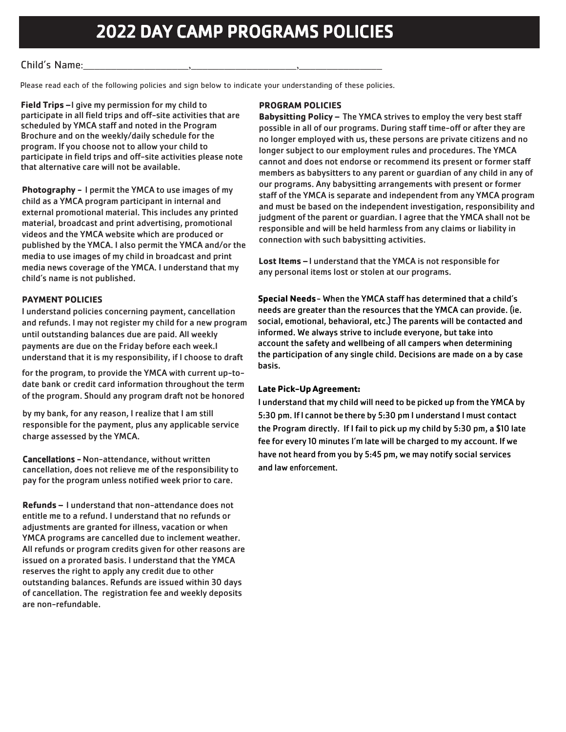### Child's Name:

Please read each of the following policies and sign below to indicate your understanding of these policies.

**Field Trips –**I give my permission for my child to participate in all field trips and off-site activities that are scheduled by YMCA staff and noted in the Program Brochure and on the weekly/daily schedule for the program. If you choose not to allow your child to participate in field trips and off-site activities please note that alternative care will not be available.

**Photography -** I permit the YMCA to use images of my child as a YMCA program participant in internal and external promotional material. This includes any printed material, broadcast and print advertising, promotional videos and the YMCA website which are produced or published by the YMCA. I also permit the YMCA and/or the media to use images of my child in broadcast and print media news coverage of the YMCA. I understand that my child's name is not published.

#### **PAYMENT POLICIES**

I understand policies concerning payment, cancellation and refunds. I may not register my child for a new program until outstanding balances due are paid. All weekly payments are due on the Friday before each week.I understand that it is my responsibility, if I choose to draft

for the program, to provide the YMCA with current up-todate bank or credit card information throughout the term of the program. Should any program draft not be honored

by my bank, for any reason, I realize that I am still responsible for the payment, plus any applicable service charge assessed by the YMCA.

Cancellations - Non-attendance, without written cancellation, does not relieve me of the responsibility to pay for the program unless notified week prior to care.

**Refunds –** I understand that non-attendance does not entitle me to a refund. I understand that no refunds or adjustments are granted for illness, vacation or when YMCA programs are cancelled due to inclement weather. All refunds or program credits given for other reasons are issued on a prorated basis. I understand that the YMCA reserves the right to apply any credit due to other outstanding balances. Refunds are issued within 30 days of cancellation. The registration fee and weekly deposits are non-refundable.

#### **PROGRAM POLICIES**

**Babysitting Policy –** The YMCA strives to employ the very best staff possible in all of our programs. During staff time-off or after they are no longer employed with us, these persons are private citizens and no longer subject to our employment rules and procedures. The YMCA cannot and does not endorse or recommend its present or former staff members as babysitters to any parent or guardian of any child in any of our programs. Any babysitting arrangements with present or former staff of the YMCA is separate and independent from any YMCA program and must be based on the independent investigation, responsibility and judgment of the parent or guardian. I agree that the YMCA shall not be responsible and will be held harmless from any claims or liability in connection with such babysitting activities.

**Lost Items –** I understand that the YMCA is not responsible for any personal items lost or stolen at our programs.

**Special Needs**- When the YMCA staff has determined that a child's needs are greater than the resources that the YMCA can provide. (ie. social, emotional, behavioral, etc.) The parents will be contacted and informed. We always strive to include everyone, but take into account the safety and wellbeing of all campers when determining the participation of any single child. Decisions are made on a by case basis.

#### **Late Pick-Up Agreement:**

I understand that my child will need to be picked up from the YMCA by 5:30 pm. IfI cannot be there by 5:30 pm I understand I must contact the Program directly. If I fail to pick up my child by 5:30 pm, a \$10 late fee for every 10 minutes I'm late will be charged to my account. If we have not heard from you by 5:45 pm, we may notify social services and law enforcement.